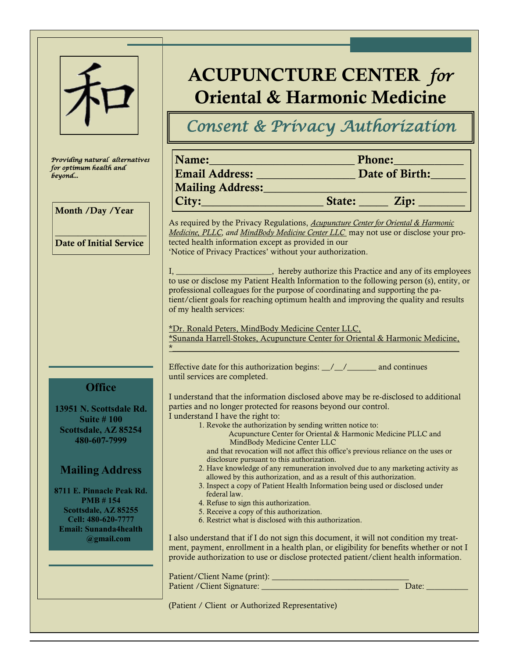|                                                                                                                      | <b>ACUPUNCTURE CENTER for</b><br><b>Oriental &amp; Harmonic Medicine</b>                                                                                                                                                                                                                                                                                                                                                                                                                                                                     |                                                                                                                                                           |                                                                               |  |  |  |
|----------------------------------------------------------------------------------------------------------------------|----------------------------------------------------------------------------------------------------------------------------------------------------------------------------------------------------------------------------------------------------------------------------------------------------------------------------------------------------------------------------------------------------------------------------------------------------------------------------------------------------------------------------------------------|-----------------------------------------------------------------------------------------------------------------------------------------------------------|-------------------------------------------------------------------------------|--|--|--|
|                                                                                                                      | Consent & Privacy Authorization                                                                                                                                                                                                                                                                                                                                                                                                                                                                                                              |                                                                                                                                                           |                                                                               |  |  |  |
| Providing natural alternatives<br>for optimum health and<br>beyond                                                   |                                                                                                                                                                                                                                                                                                                                                                                                                                                                                                                                              |                                                                                                                                                           | Name: Phone: Phone:<br>Email Address: ________________________ Date of Birth: |  |  |  |
| Month /Day /Year                                                                                                     |                                                                                                                                                                                                                                                                                                                                                                                                                                                                                                                                              |                                                                                                                                                           |                                                                               |  |  |  |
| <b>Date of Initial Service</b>                                                                                       | As required by the Privacy Regulations, Acupuncture Center for Oriental & Harmonic<br>Medicine, PLLC, and MindBody Medicine Center LLC may not use or disclose your pro-<br>tected health information except as provided in our<br>'Notice of Privacy Practices' without your authorization.                                                                                                                                                                                                                                                 |                                                                                                                                                           |                                                                               |  |  |  |
|                                                                                                                      | I, ________________________, hereby authorize this Practice and any of its employees to use or disclose my Patient Health Information to the following person (s), entity, or<br>professional colleagues for the purpose of coordinating and supporting the pa-<br>tient/client goals for reaching optimum health and improving the quality and results<br>of my health services:<br>*Dr. Ronald Peters, MindBody Medicine Center LLC,<br>*Sunanda Harrell-Stokes, Acupuncture Center for Oriental & Harmonic Medicine,                      |                                                                                                                                                           |                                                                               |  |  |  |
| <b>Office</b>                                                                                                        | Effective date for this authorization begins: _/_/__________ and continues<br>until services are completed.                                                                                                                                                                                                                                                                                                                                                                                                                                  |                                                                                                                                                           |                                                                               |  |  |  |
| 13951 N. Scottsdale Rd.<br><b>Suite #100</b><br>Scottsdale, AZ 85254<br>480-607-7999                                 | I understand that the information disclosed above may be re-disclosed to additional<br>parties and no longer protected for reasons beyond our control.<br>I understand I have the right to:                                                                                                                                                                                                                                                                                                                                                  | 1. Revoke the authorization by sending written notice to:<br>Acupuncture Center for Oriental & Harmonic Medicine PLLC and<br>MindBody Medicine Center LLC |                                                                               |  |  |  |
| <b>Mailing Address</b><br>8711 E. Pinnacle Peak Rd.<br><b>PMB #154</b><br>Scottsdale, AZ 85255<br>Cell: 480-620-7777 | and that revocation will not affect this office's previous reliance on the uses or<br>disclosure pursuant to this authorization.<br>2. Have knowledge of any remuneration involved due to any marketing activity as<br>allowed by this authorization, and as a result of this authorization.<br>3. Inspect a copy of Patient Health Information being used or disclosed under<br>federal law.<br>4. Refuse to sign this authorization.<br>5. Receive a copy of this authorization.<br>6. Restrict what is disclosed with this authorization. |                                                                                                                                                           |                                                                               |  |  |  |
| <b>Email: Sunanda4health</b><br>@gmail.com                                                                           | I also understand that if I do not sign this document, it will not condition my treat-<br>ment, payment, enrollment in a health plan, or eligibility for benefits whether or not I<br>provide authorization to use or disclose protected patient/client health information.                                                                                                                                                                                                                                                                  |                                                                                                                                                           |                                                                               |  |  |  |
|                                                                                                                      |                                                                                                                                                                                                                                                                                                                                                                                                                                                                                                                                              |                                                                                                                                                           | Date:                                                                         |  |  |  |
|                                                                                                                      | (Patient / Client or Authorized Representative)                                                                                                                                                                                                                                                                                                                                                                                                                                                                                              |                                                                                                                                                           |                                                                               |  |  |  |